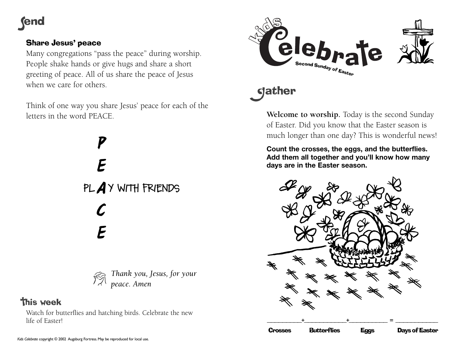## **fend**

### Share Jesus' peace

Many congregations "pass the peace" during worship. People shake hands or give hugs and share a short greeting of peace. All of us share the peace of Jesus when we care for others.

Think of one way you share Jesus' peace for each of the letters in the word PEACE.

> *P E A* **PL Y WITH FRIENDS***C E*



## **this week**

Watch for butterflies and hatching birds. Celebrate the new life of Easter!



# **gather**

**Welcome to worship.** Today is the second Sunday of Easter. Did you know that the Easter season is much longer than one day? This is wonderful news!

**Count the crosses, the eggs, and the butterflies. Add them all together and you'll know how many days are in the Easter season.**